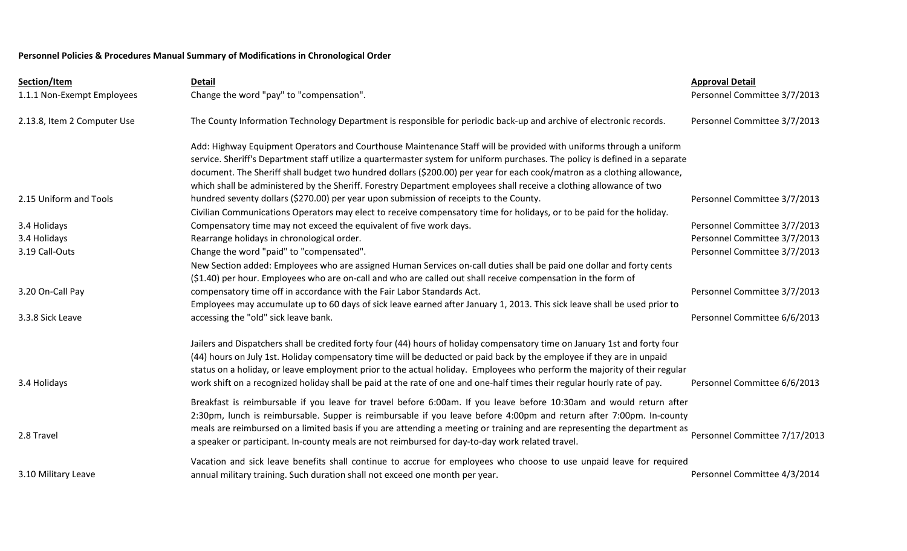## **Personnel Policies & Procedures Manual Summary of Modifications in Chronological Order**

| Section/Item                | <b>Detail</b>                                                                                                                                                                                                                                                                                                                                                                                                                                                                                                | <b>Approval Detail</b>        |
|-----------------------------|--------------------------------------------------------------------------------------------------------------------------------------------------------------------------------------------------------------------------------------------------------------------------------------------------------------------------------------------------------------------------------------------------------------------------------------------------------------------------------------------------------------|-------------------------------|
| 1.1.1 Non-Exempt Employees  | Change the word "pay" to "compensation".                                                                                                                                                                                                                                                                                                                                                                                                                                                                     | Personnel Committee 3/7/2013  |
| 2.13.8, Item 2 Computer Use | The County Information Technology Department is responsible for periodic back-up and archive of electronic records.                                                                                                                                                                                                                                                                                                                                                                                          | Personnel Committee 3/7/2013  |
|                             | Add: Highway Equipment Operators and Courthouse Maintenance Staff will be provided with uniforms through a uniform<br>service. Sheriff's Department staff utilize a quartermaster system for uniform purchases. The policy is defined in a separate<br>document. The Sheriff shall budget two hundred dollars (\$200.00) per year for each cook/matron as a clothing allowance,<br>which shall be administered by the Sheriff. Forestry Department employees shall receive a clothing allowance of two       |                               |
| 2.15 Uniform and Tools      | hundred seventy dollars (\$270.00) per year upon submission of receipts to the County.<br>Civilian Communications Operators may elect to receive compensatory time for holidays, or to be paid for the holiday.                                                                                                                                                                                                                                                                                              | Personnel Committee 3/7/2013  |
| 3.4 Holidays                | Compensatory time may not exceed the equivalent of five work days.                                                                                                                                                                                                                                                                                                                                                                                                                                           | Personnel Committee 3/7/2013  |
| 3.4 Holidays                | Rearrange holidays in chronological order.                                                                                                                                                                                                                                                                                                                                                                                                                                                                   | Personnel Committee 3/7/2013  |
| 3.19 Call-Outs              | Change the word "paid" to "compensated".                                                                                                                                                                                                                                                                                                                                                                                                                                                                     | Personnel Committee 3/7/2013  |
|                             | New Section added: Employees who are assigned Human Services on-call duties shall be paid one dollar and forty cents<br>(\$1.40) per hour. Employees who are on-call and who are called out shall receive compensation in the form of                                                                                                                                                                                                                                                                        |                               |
| 3.20 On-Call Pay            | compensatory time off in accordance with the Fair Labor Standards Act.                                                                                                                                                                                                                                                                                                                                                                                                                                       | Personnel Committee 3/7/2013  |
|                             | Employees may accumulate up to 60 days of sick leave earned after January 1, 2013. This sick leave shall be used prior to                                                                                                                                                                                                                                                                                                                                                                                    |                               |
| 3.3.8 Sick Leave            | accessing the "old" sick leave bank.                                                                                                                                                                                                                                                                                                                                                                                                                                                                         | Personnel Committee 6/6/2013  |
| 3.4 Holidays                | Jailers and Dispatchers shall be credited forty four (44) hours of holiday compensatory time on January 1st and forty four<br>(44) hours on July 1st. Holiday compensatory time will be deducted or paid back by the employee if they are in unpaid<br>status on a holiday, or leave employment prior to the actual holiday. Employees who perform the majority of their regular<br>work shift on a recognized holiday shall be paid at the rate of one and one-half times their regular hourly rate of pay. | Personnel Committee 6/6/2013  |
|                             |                                                                                                                                                                                                                                                                                                                                                                                                                                                                                                              |                               |
| 2.8 Travel                  | Breakfast is reimbursable if you leave for travel before 6:00am. If you leave before 10:30am and would return after<br>2:30pm, lunch is reimbursable. Supper is reimbursable if you leave before 4:00pm and return after 7:00pm. In-county<br>meals are reimbursed on a limited basis if you are attending a meeting or training and are representing the department as<br>a speaker or participant. In-county meals are not reimbursed for day-to-day work related travel.                                  | Personnel Committee 7/17/2013 |
|                             | Vacation and sick leave benefits shall continue to accrue for employees who choose to use unpaid leave for required                                                                                                                                                                                                                                                                                                                                                                                          |                               |
| 3.10 Military Leave         | annual military training. Such duration shall not exceed one month per year.                                                                                                                                                                                                                                                                                                                                                                                                                                 | Personnel Committee 4/3/2014  |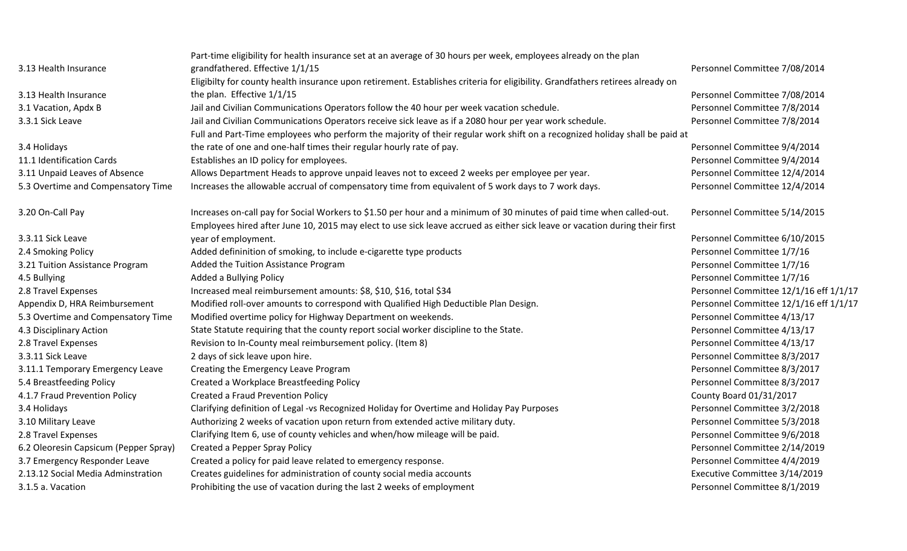|                                       | Part-time eligibility for health insurance set at an average of 30 hours per week, employees already on the plan               |                                        |
|---------------------------------------|--------------------------------------------------------------------------------------------------------------------------------|----------------------------------------|
| 3.13 Health Insurance                 | grandfathered. Effective 1/1/15                                                                                                | Personnel Committee 7/08/2014          |
|                                       | Eligibilty for county health insurance upon retirement. Establishes criteria for eligibility. Grandfathers retirees already on |                                        |
| 3.13 Health Insurance                 | the plan. Effective 1/1/15                                                                                                     | Personnel Committee 7/08/2014          |
| 3.1 Vacation, Apdx B                  | Jail and Civilian Communications Operators follow the 40 hour per week vacation schedule.                                      | Personnel Committee 7/8/2014           |
| 3.3.1 Sick Leave                      | Jail and Civilian Communications Operators receive sick leave as if a 2080 hour per year work schedule.                        | Personnel Committee 7/8/2014           |
|                                       | Full and Part-Time employees who perform the majority of their regular work shift on a recognized holiday shall be paid at     |                                        |
| 3.4 Holidays                          | the rate of one and one-half times their regular hourly rate of pay.                                                           | Personnel Committee 9/4/2014           |
| 11.1 Identification Cards             | Establishes an ID policy for employees.                                                                                        | Personnel Committee 9/4/2014           |
| 3.11 Unpaid Leaves of Absence         | Allows Department Heads to approve unpaid leaves not to exceed 2 weeks per employee per year.                                  | Personnel Committee 12/4/2014          |
| 5.3 Overtime and Compensatory Time    | Increases the allowable accrual of compensatory time from equivalent of 5 work days to 7 work days.                            | Personnel Committee 12/4/2014          |
| 3.20 On-Call Pay                      | Increases on-call pay for Social Workers to \$1.50 per hour and a minimum of 30 minutes of paid time when called-out.          | Personnel Committee 5/14/2015          |
|                                       | Employees hired after June 10, 2015 may elect to use sick leave accrued as either sick leave or vacation during their first    |                                        |
| 3.3.11 Sick Leave                     | year of employment.                                                                                                            | Personnel Committee 6/10/2015          |
| 2.4 Smoking Policy                    | Added defininition of smoking, to include e-cigarette type products                                                            | Personnel Committee 1/7/16             |
| 3.21 Tuition Assistance Program       | Added the Tuition Assistance Program                                                                                           | Personnel Committee 1/7/16             |
| 4.5 Bullying                          | Added a Bullying Policy                                                                                                        | Personnel Committee 1/7/16             |
| 2.8 Travel Expenses                   | Increased meal reimbursement amounts: \$8, \$10, \$16, total \$34                                                              | Personnel Committee 12/1/16 eff 1/1/17 |
| Appendix D, HRA Reimbursement         | Modified roll-over amounts to correspond with Qualified High Deductible Plan Design.                                           | Personnel Committee 12/1/16 eff 1/1/17 |
| 5.3 Overtime and Compensatory Time    | Modified overtime policy for Highway Department on weekends.                                                                   | Personnel Committee 4/13/17            |
| 4.3 Disciplinary Action               | State Statute requiring that the county report social worker discipline to the State.                                          | Personnel Committee 4/13/17            |
| 2.8 Travel Expenses                   | Revision to In-County meal reimbursement policy. (Item 8)                                                                      | Personnel Committee 4/13/17            |
| 3.3.11 Sick Leave                     | 2 days of sick leave upon hire.                                                                                                | Personnel Committee 8/3/2017           |
| 3.11.1 Temporary Emergency Leave      | Creating the Emergency Leave Program                                                                                           | Personnel Committee 8/3/2017           |
| 5.4 Breastfeeding Policy              | Created a Workplace Breastfeeding Policy                                                                                       | Personnel Committee 8/3/2017           |
| 4.1.7 Fraud Prevention Policy         | <b>Created a Fraud Prevention Policy</b>                                                                                       | County Board 01/31/2017                |
| 3.4 Holidays                          | Clarifying definition of Legal -vs Recognized Holiday for Overtime and Holiday Pay Purposes                                    | Personnel Committee 3/2/2018           |
| 3.10 Military Leave                   | Authorizing 2 weeks of vacation upon return from extended active military duty.                                                | Personnel Committee 5/3/2018           |
| 2.8 Travel Expenses                   | Clarifying Item 6, use of county vehicles and when/how mileage will be paid.                                                   | Personnel Committee 9/6/2018           |
| 6.2 Oleoresin Capsicum (Pepper Spray) | Created a Pepper Spray Policy                                                                                                  | Personnel Committee 2/14/2019          |
| 3.7 Emergency Responder Leave         | Created a policy for paid leave related to emergency response.                                                                 | Personnel Committee 4/4/2019           |
| 2.13.12 Social Media Adminstration    | Creates guidelines for administration of county social media accounts                                                          | Executive Committee 3/14/2019          |
| 3.1.5 a. Vacation                     | Prohibiting the use of vacation during the last 2 weeks of employment                                                          | Personnel Committee 8/1/2019           |